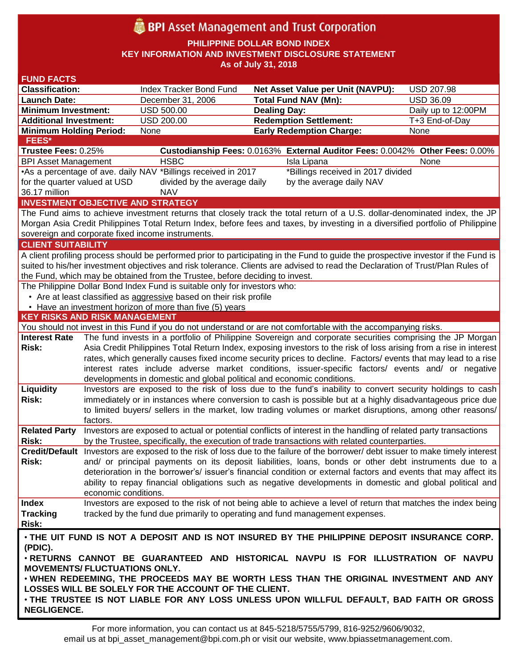# **BPI** Asset Management and Trust Corporation

**PHILIPPINE DOLLAR BOND INDEX**

**KEY INFORMATION AND INVESTMENT DISCLOSURE STATEMENT**

**As of July 31, 2018**

| <b>FUND FACTS</b>                                                                                                              |                                                                                                            |                                                                                                                |                                                                                                                                    |                     |  |  |  |  |  |
|--------------------------------------------------------------------------------------------------------------------------------|------------------------------------------------------------------------------------------------------------|----------------------------------------------------------------------------------------------------------------|------------------------------------------------------------------------------------------------------------------------------------|---------------------|--|--|--|--|--|
| <b>Classification:</b>                                                                                                         |                                                                                                            | Index Tracker Bond Fund                                                                                        | <b>Net Asset Value per Unit (NAVPU):</b>                                                                                           | <b>USD 207.98</b>   |  |  |  |  |  |
| <b>Launch Date:</b>                                                                                                            |                                                                                                            | December 31, 2006                                                                                              | <b>Total Fund NAV (Mn):</b>                                                                                                        | <b>USD 36.09</b>    |  |  |  |  |  |
| <b>Minimum Investment:</b>                                                                                                     |                                                                                                            | <b>USD 500.00</b>                                                                                              | <b>Dealing Day:</b>                                                                                                                | Daily up to 12:00PM |  |  |  |  |  |
| <b>Additional Investment:</b>                                                                                                  |                                                                                                            | <b>USD 200.00</b>                                                                                              | <b>Redemption Settlement:</b>                                                                                                      | T+3 End-of-Day      |  |  |  |  |  |
| <b>Minimum Holding Period:</b>                                                                                                 |                                                                                                            | None                                                                                                           | <b>Early Redemption Charge:</b>                                                                                                    | None                |  |  |  |  |  |
| FEES*                                                                                                                          |                                                                                                            |                                                                                                                |                                                                                                                                    |                     |  |  |  |  |  |
| Trustee Fees: 0.25%                                                                                                            |                                                                                                            |                                                                                                                | Custodianship Fees: 0.0163% External Auditor Fees: 0.0042% Other Fees: 0.00%                                                       |                     |  |  |  |  |  |
| <b>BPI Asset Management</b>                                                                                                    |                                                                                                            | <b>HSBC</b>                                                                                                    | Isla Lipana                                                                                                                        | None                |  |  |  |  |  |
|                                                                                                                                | •As a percentage of ave. daily NAV *Billings received in 2017<br>*Billings received in 2017 divided        |                                                                                                                |                                                                                                                                    |                     |  |  |  |  |  |
| for the quarter valued at USD                                                                                                  |                                                                                                            | divided by the average daily                                                                                   | by the average daily NAV                                                                                                           |                     |  |  |  |  |  |
| 36.17 million                                                                                                                  | <b>NAV</b>                                                                                                 |                                                                                                                |                                                                                                                                    |                     |  |  |  |  |  |
|                                                                                                                                |                                                                                                            | <b>INVESTMENT OBJECTIVE AND STRATEGY</b>                                                                       |                                                                                                                                    |                     |  |  |  |  |  |
|                                                                                                                                |                                                                                                            |                                                                                                                | The Fund aims to achieve investment returns that closely track the total return of a U.S. dollar-denominated index, the JP         |                     |  |  |  |  |  |
|                                                                                                                                |                                                                                                            |                                                                                                                | Morgan Asia Credit Philippines Total Return Index, before fees and taxes, by investing in a diversified portfolio of Philippine    |                     |  |  |  |  |  |
|                                                                                                                                |                                                                                                            | sovereign and corporate fixed income instruments.                                                              |                                                                                                                                    |                     |  |  |  |  |  |
| <b>CLIENT SUITABILITY</b>                                                                                                      |                                                                                                            |                                                                                                                |                                                                                                                                    |                     |  |  |  |  |  |
|                                                                                                                                |                                                                                                            |                                                                                                                | A client profiling process should be performed prior to participating in the Fund to guide the prospective investor if the Fund is |                     |  |  |  |  |  |
| suited to his/her investment objectives and risk tolerance. Clients are advised to read the Declaration of Trust/Plan Rules of |                                                                                                            |                                                                                                                |                                                                                                                                    |                     |  |  |  |  |  |
| the Fund, which may be obtained from the Trustee, before deciding to invest.                                                   |                                                                                                            |                                                                                                                |                                                                                                                                    |                     |  |  |  |  |  |
| The Philippine Dollar Bond Index Fund is suitable only for investors who:                                                      |                                                                                                            |                                                                                                                |                                                                                                                                    |                     |  |  |  |  |  |
| • Are at least classified as aggressive based on their risk profile                                                            |                                                                                                            |                                                                                                                |                                                                                                                                    |                     |  |  |  |  |  |
| • Have an investment horizon of more than five (5) years                                                                       |                                                                                                            |                                                                                                                |                                                                                                                                    |                     |  |  |  |  |  |
| <b>KEY RISKS AND RISK MANAGEMENT</b>                                                                                           |                                                                                                            |                                                                                                                |                                                                                                                                    |                     |  |  |  |  |  |
|                                                                                                                                |                                                                                                            |                                                                                                                | You should not invest in this Fund if you do not understand or are not comfortable with the accompanying risks.                    |                     |  |  |  |  |  |
| <b>Interest Rate</b>                                                                                                           |                                                                                                            |                                                                                                                | The fund invests in a portfolio of Philippine Sovereign and corporate securities comprising the JP Morgan                          |                     |  |  |  |  |  |
| <b>Risk:</b>                                                                                                                   |                                                                                                            |                                                                                                                | Asia Credit Philippines Total Return Index, exposing investors to the risk of loss arising from a rise in interest                 |                     |  |  |  |  |  |
|                                                                                                                                |                                                                                                            | rates, which generally causes fixed income security prices to decline. Factors/ events that may lead to a rise |                                                                                                                                    |                     |  |  |  |  |  |
|                                                                                                                                |                                                                                                            |                                                                                                                | interest rates include adverse market conditions, issuer-specific factors/ events and/ or negative                                 |                     |  |  |  |  |  |
|                                                                                                                                |                                                                                                            | developments in domestic and global political and economic conditions.                                         |                                                                                                                                    |                     |  |  |  |  |  |
| <b>Liquidity</b>                                                                                                               |                                                                                                            |                                                                                                                | Investors are exposed to the risk of loss due to the fund's inability to convert security holdings to cash                         |                     |  |  |  |  |  |
| Risk:                                                                                                                          | immediately or in instances where conversion to cash is possible but at a highly disadvantageous price due |                                                                                                                |                                                                                                                                    |                     |  |  |  |  |  |
|                                                                                                                                | to limited buyers/ sellers in the market, low trading volumes or market disruptions, among other reasons/  |                                                                                                                |                                                                                                                                    |                     |  |  |  |  |  |
|                                                                                                                                | factors.                                                                                                   |                                                                                                                |                                                                                                                                    |                     |  |  |  |  |  |
| <b>Related Party</b>                                                                                                           |                                                                                                            |                                                                                                                | Investors are exposed to actual or potential conflicts of interest in the handling of related party transactions                   |                     |  |  |  |  |  |
| Risk:                                                                                                                          |                                                                                                            |                                                                                                                | by the Trustee, specifically, the execution of trade transactions with related counterparties.                                     |                     |  |  |  |  |  |
|                                                                                                                                |                                                                                                            |                                                                                                                | Credit/Default Investors are exposed to the risk of loss due to the failure of the borrower/ debt issuer to make timely interest   |                     |  |  |  |  |  |
| Risk:                                                                                                                          |                                                                                                            |                                                                                                                | and/ or principal payments on its deposit liabilities, loans, bonds or other debt instruments due to a                             |                     |  |  |  |  |  |
|                                                                                                                                |                                                                                                            |                                                                                                                | deterioration in the borrower's/ issuer's financial condition or external factors and events that may affect its                   |                     |  |  |  |  |  |
|                                                                                                                                |                                                                                                            |                                                                                                                | ability to repay financial obligations such as negative developments in domestic and global political and                          |                     |  |  |  |  |  |
|                                                                                                                                | economic conditions.                                                                                       |                                                                                                                |                                                                                                                                    |                     |  |  |  |  |  |
| <b>Index</b>                                                                                                                   |                                                                                                            |                                                                                                                | Investors are exposed to the risk of not being able to achieve a level of return that matches the index being                      |                     |  |  |  |  |  |
| <b>Tracking</b>                                                                                                                |                                                                                                            |                                                                                                                | tracked by the fund due primarily to operating and fund management expenses.                                                       |                     |  |  |  |  |  |
| Risk:                                                                                                                          |                                                                                                            |                                                                                                                |                                                                                                                                    |                     |  |  |  |  |  |
|                                                                                                                                |                                                                                                            |                                                                                                                |                                                                                                                                    |                     |  |  |  |  |  |
| . THE UIT FUND IS NOT A DEPOSIT AND IS NOT INSURED BY THE PHILIPPINE DEPOSIT INSURANCE CORP.                                   |                                                                                                            |                                                                                                                |                                                                                                                                    |                     |  |  |  |  |  |
| (PDIC).<br>. RETURNS CANNOT BE GUARANTEED AND HISTORICAL NAVPU IS FOR ILLUSTRATION OF NAVPU                                    |                                                                                                            |                                                                                                                |                                                                                                                                    |                     |  |  |  |  |  |
| <b>MOVEMENTS/ FLUCTUATIONS ONLY.</b>                                                                                           |                                                                                                            |                                                                                                                |                                                                                                                                    |                     |  |  |  |  |  |
| . WHEN REDEEMING, THE PROCEEDS MAY BE WORTH LESS THAN THE ORIGINAL INVESTMENT AND ANY                                          |                                                                                                            |                                                                                                                |                                                                                                                                    |                     |  |  |  |  |  |
|                                                                                                                                |                                                                                                            | LOSSES WILL BE SOLELY FOR THE ACCOUNT OF THE CLIENT.                                                           |                                                                                                                                    |                     |  |  |  |  |  |
|                                                                                                                                |                                                                                                            |                                                                                                                |                                                                                                                                    |                     |  |  |  |  |  |
| . THE TRUSTEE IS NOT LIABLE FOR ANY LOSS UNLESS UPON WILLFUL DEFAULT, BAD FAITH OR GROSS                                       |                                                                                                            |                                                                                                                |                                                                                                                                    |                     |  |  |  |  |  |
| <b>NEGLIGENCE.</b>                                                                                                             |                                                                                                            |                                                                                                                |                                                                                                                                    |                     |  |  |  |  |  |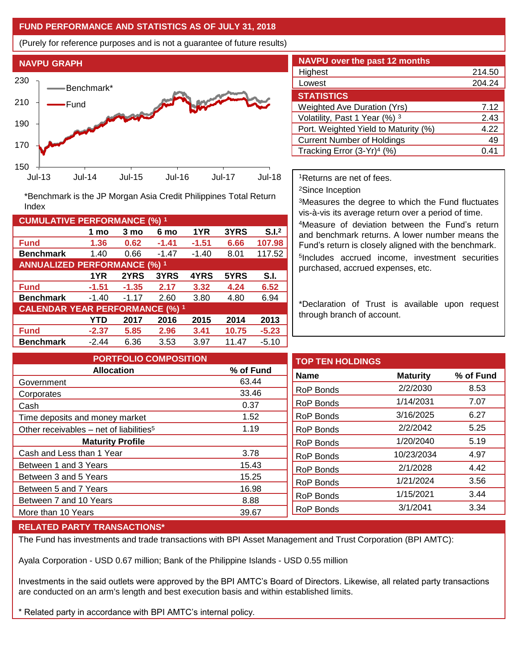## **FUND PERFORMANCE AND STATISTICS AS OF JULY 31, 2018**

(Purely for reference purposes and is not a guarantee of future results)



**Fund 1.36 0.62 -1.41 -1.51 6.66 107.98 Benchmark** 1.40 0.66 -1.47 -1.40 8.01 117.52

\*Benchmark is the JP Morgan Asia Credit Philippines Total Return

**Fund -1.51 -1.35 2.17 3.32 4.24 6.52 Benchmark** -1.40 -1.17 2.60 3.80 4.80 6.94

**Fund -2.37 5.85 2.96 3.41 10.75 -5.23 Benchmark** -2.44 6.36 3.53 3.97 11.47 -5.10

**1 mo 3 mo 6 mo 1YR 3YRS S.I.<sup>2</sup>**

**1YR 2YRS 3YRS 4YRS 5YRS S.I.**

**YTD 2017 2016 2015 2014 2013**

| <b>NAVPU over the past 12 months</b> |        |  |  |  |  |
|--------------------------------------|--------|--|--|--|--|
| Highest                              | 214.50 |  |  |  |  |
| Lowest                               | 204.24 |  |  |  |  |
| <b>STATISTICS</b>                    |        |  |  |  |  |
| <b>Weighted Ave Duration (Yrs)</b>   | 7.12   |  |  |  |  |
| Volatility, Past 1 Year (%) 3        | 2.43   |  |  |  |  |
| Port. Weighted Yield to Maturity (%) | 4.22   |  |  |  |  |
| <b>Current Number of Holdings</b>    | 49     |  |  |  |  |
| Tracking Error $(3-Yr)^4$ (%)        | 0.41   |  |  |  |  |

<sup>1</sup>Returns are net of fees.

<sup>2</sup>Since Inception

<sup>3</sup>Measures the degree to which the Fund fluctuates vis-à-vis its average return over a period of time.

<sup>4</sup>Measure of deviation between the Fund's return and benchmark returns. A lower number means the Fund's return is closely aligned with the benchmark. 5 Includes accrued income, investment securities purchased, accrued expenses, etc.

\*Declaration of Trust is available upon request through branch of account.

| <b>PORTFOLIO COMPOSITION</b>                        |           | <b>TOP TEN HOLDINGS</b> |                 |           |
|-----------------------------------------------------|-----------|-------------------------|-----------------|-----------|
| <b>Allocation</b>                                   | % of Fund | <b>Name</b>             | <b>Maturity</b> | % of Fund |
| Government                                          | 63.44     |                         |                 |           |
| Corporates                                          | 33.46     | <b>RoP Bonds</b>        | 2/2/2030        | 8.53      |
| Cash                                                | 0.37      | <b>RoP Bonds</b>        | 1/14/2031       | 7.07      |
| Time deposits and money market                      | 1.52      | RoP Bonds               | 3/16/2025       | 6.27      |
| Other receivables – net of liabilities <sup>5</sup> | 1.19      | RoP Bonds               | 2/2/2042        | 5.25      |
| <b>Maturity Profile</b>                             |           | RoP Bonds               | 1/20/2040       | 5.19      |
| Cash and Less than 1 Year                           | 3.78      | RoP Bonds               | 10/23/2034      | 4.97      |
| Between 1 and 3 Years                               | 15.43     | <b>RoP Bonds</b>        | 2/1/2028        | 4.42      |
| Between 3 and 5 Years                               | 15.25     |                         | 1/21/2024       |           |
| Between 5 and 7 Years                               | 16.98     | RoP Bonds               |                 | 3.56      |
| Between 7 and 10 Years                              | 8.88      | <b>RoP Bonds</b>        | 1/15/2021       | 3.44      |
| More than 10 Years                                  | 39.67     | RoP Bonds               | 3/1/2041        | 3.34      |
|                                                     |           |                         |                 |           |

#### **RELATED PARTY TRANSACTIONS\***

**CUMULATIVE PERFORMANCE (%) <sup>1</sup>**

Index

**ANNUALIZED PERFORMANCE (%) <sup>1</sup>**

**CALENDAR YEAR PERFORMANCE (%) <sup>1</sup>**

The Fund has investments and trade transactions with BPI Asset Management and Trust Corporation (BPI AMTC):

Ayala Corporation - USD 0.67 million; Bank of the Philippine Islands - USD 0.55 million

Investments in the said outlets were approved by the BPI AMTC's Board of Directors. Likewise, all related party transactions are conducted on an arm's length and best execution basis and within established limits.

\* Related party in accordance with BPI AMTC's internal policy.